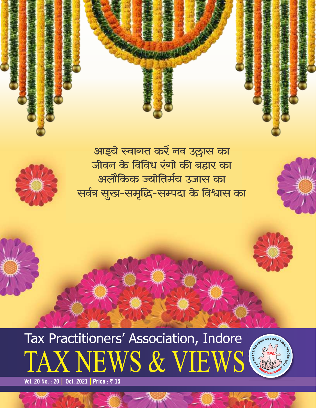









**Vol. 20 No. : 20 | Oct. 2021 | Price : ₹ 15**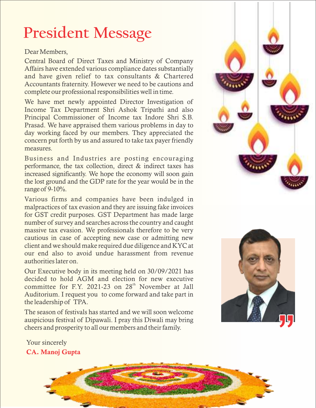## **President Message**

### Dear Members ,

Central Board of Direct Taxes and Ministry of Company Affairs have extended various compliance dates substantially and have given relief to tax consultants & Chartered Accountants fraternity. However we need to be cautions and complete our professional responsibilities well in time .

We have met newly appointed Director Investigation of Income Tax Department Shri Ashok Tripathi and also Principal Commissioner of Income tax Indore Shri S.B. Prasad. We have appraised them various problems in day to day working faced by our members. They appreciated the concern put forth by us and assured to take tax payer friendly measures .

Business and Industries are posting encouraging performance, the tax collection, direct & indirect taxes has increased significantly. We hope the economy will soon gain the lost ground and the GDP rate for the year would be in the range of 9-10%.

Various firms and companies have been indulged in malpractices of tax e vasion and they are issuing fake invoices for GST credit purposes. GST Department has made large number of survey and searches across the country and caught massive tax evasion. We professionals therefore to be very cautious in case of accepting new case or admitting new client and we should make required due diligence and KYC at our end also to avoid undue harassment from revenue authorities later on.

Our Executi ve body in its meeting held on 30/09/2021 has decided to hold AGM and election for new executive committee for F.Y. 2021-23 on 28<sup>th</sup> November at Jall Auditorium. I request you to come forward and take part in the leadership of TPA.

The season of festi vals has started and we will soon welcome auspicious festi val of Dipawali. I pray this Diwali may bring cheers and prosperity to all our members and their family.



### Your sincerely CA. Manoj Gupta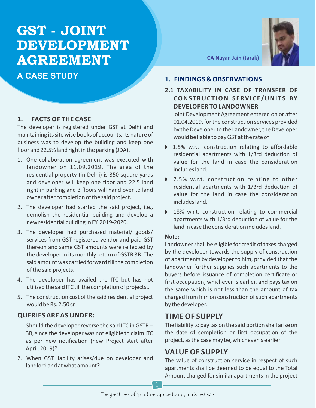## **GST - JOINT DEVELOPMENT AGREEMENT CA Nayan Jain (Jarak)**

**A CASE STUDY**

### **1. FACTS OF THE CASE**

The developer is registered under GST at Delhi and maintaining its site wise books of accounts. Its nature of business was to develop the building and keep one floor and 22.5% land right in the parking (JDA).

- 1. One collaboration agreement was executed with landowner on 11.09.2019. The area of the residential property (in Delhi) is 350 square yards and developer will keep one floor and 22.5 land right in parking and 3 floors will hand over to land owner after completion of the said project.
- 2. The developer had started the said project, i.e., demolish the residential building and develop a new residential building in FY. 2019-2020.
- 3. The developer had purchased material/ goods/ services from GST registered vendor and paid GST thereon and same GST amounts were reflected by the developer in its monthly return of GSTR 3B. The said amount was carried forward till the completion of the said projects.
- 4. The developer has availed the ITC but has not utilized the said ITC till the completion of projects..
- 5. The construction cost of the said residential project would be Rs. 2.50 cr.

### **QUERIES ARE AS UNDER:**

- 1. Should the developer reverse the said ITC in GSTR 3B, since the developer was not eligible to claim ITC as per new notification (new Project start after April. 2019)?
- 2. When GST liability arises/due on developer and landlord and at what amount?



### **1. FINDINGS & OBSERVATIONS**

### **2.1 TAXABILITY IN CASE OF TRANSFER OF CONSTRUC T ION S ERVI C E/UNI T S BY DEVELOPER TO LANDOWNER**

Joint Development Agreement entered on or after 01.04.2019, for the construction services provided by the Developer to the Landowner, the Developer would be liable to pay GST at the rate of

- $\blacktriangleright$  1.5% w.r.t. construction relating to affordable residential apartments with 1/3rd deduction of value for the land in case the consideration includes land.
- 7.5% w.r.t. construction relating to other residential apartments with 1/3rd deduction of value for the land in case the consideration includes land.
- 18% w.r.t. construction relating to commercial apartments with 1/3rd deduction of value for the land in case the consideration includes land.

### **Note:**

Landowner shall be eligible for credit of taxes charged by the developer towards the supply of construction of apartments by developer to him, provided that the landowner further supplies such apartments to the buyers before issuance of completion certificate or first occupation, whichever is earlier, and pays tax on the same which is not less than the amount of tax charged from him on construction of such apartments by the developer.

### **TIME OF SUPPLY**

The liability to pay tax on the said portion shall arise on the date of completion or first occupation of the project, as the case may be, whichever is earlier

### **VALUE OF SUPPLY**

The value of construction service in respect of such apartments shall be deemed to be equal to the Total Amount charged for similar apartments in the project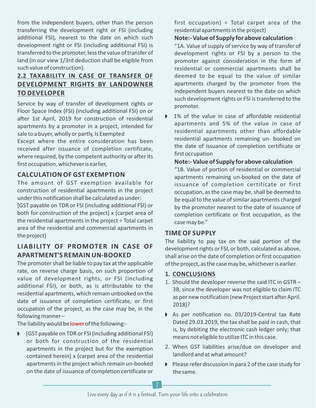from the independent buyers, other than the person transferring the development right or FSI (including additional FSI), nearest to the date on which such development right or FSI (including additional FSI) is transferred to the promoter, less the value of transfer of land (in our view 1/3rd deduction shall be eligible from such value of construction).

### **2.2 TAXABILITY IN CASE OF TRANSFER OF DEVELOPMENT RIGHTS BY LANDOWNER TO DEVELOPER**

Service by way of transfer of development rights or Floor Space Index (FSI) (including additional FSI) on or after 1st April, 2019 for construction of residential apartments by a promoter in a project, intended for sale to a buyer, wholly or partly, Is Exempted

Except where the entire consideration has been received after issuance of completion certificate, where required, by the competent authority or after its first occupation, whichever is earlier,

### **CALCULATION OF GST EXEMPTION**

The amount of GST exemption available for construction of residential apartments in the project under this notification shall be calculated as under:

[GST payable on TDR or FSI (including additional FSI) or both for construction of the project] x (carpet area of the residential apartments in the project ÷ Total carpet area of the residential and commercial apartments in the project)

### **LIABILITY OF PROMOTER IN CASE OF APARTMENT'S REMAIN UN-BOOKED**

The promoter shall be liable to pay tax at the applicable rate, on reverse charge basis, on such proportion of value of development rights, or FSI (including additional FSI), or both, as is attributable to the residential apartments, which remain unbooked on the date of issuance of completion certificate, or first occupation of the project, as the case may be, in the following manner –

The liability would be lower of the following:-

**D** [GST payable on TDR or FSI (including additional FSI) or both for construction of the residential apartments in the project but for the exemption contained herein] x (carpet area of the residential apartments in the project which remain un-booked on the date of issuance of completion certificate or

first occupation)  $\div$  Total carpet area of the residential apartments in the project)

### **Note:- Value of Supply for above calculation**

"1A. Value of supply of service by way of transfer of development rights or FSI by a person to the promoter against consideration in the form of residential or commercial apartments shall be deemed to be equal to the value of similar apartments charged by the promoter from the independent buyers nearest to the date on which such development rights or FSI is transferred to the promoter.

 $\triangleright$  1% of the value in case of affordable residential apartments and 5% of the value in case of residential apartments other than affordable residential apartments remaining un- booked on the date of issuance of completion certificate or first occupation

### **Note:- Value of Supply for above calculation**

"1B. Value of portion of residential or commercial apartments remaining un-booked on the date of issuance of completion certificate or first occupation, as the case may be, shall be deemed to be equal to the value of similar apartments charged by the promoter nearest to the date of issuance of completion certificate or first occupation, as the case may be."

### **TIME OF SUPPLY**

The liability to pay tax on the said portion of the development rights or FSI, or both, calculated as above, shall arise on the date of completion or first occupation of the project, as the case may be, whichever is earlier.

### **1. CONCLUSIONS**

- 1. Should the developer reverse the said ITC in GSTR 3B, since the developer was not eligible to claim ITC as per new notification (new Project start after April. 2018)?
- As per notification no. 03/2019-Central tax Rate Dated 29.03.2019, the tax shall be paid in cash, that is, by debiting the electronic cash ledger only; that means not eligible to utilize ITC in this case.
- 2. When GST liabilities arise/due on developer and landlord and at what amount?
- Please refer discussion in para 2 of the case study for the same.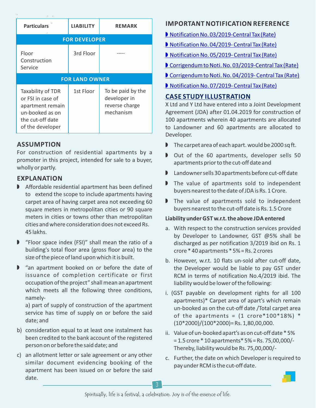| <b>Particulars</b>                                                                                                    | <b>LIABILITY</b> | <b>REMARK</b>                                                    |  |
|-----------------------------------------------------------------------------------------------------------------------|------------------|------------------------------------------------------------------|--|
| <b>FOR DEVELOPER</b>                                                                                                  |                  |                                                                  |  |
| Floor<br>Construction<br>Service                                                                                      | 3rd Floor        |                                                                  |  |
| <b>FOR LAND OWNER</b>                                                                                                 |                  |                                                                  |  |
| Taxability of TDR<br>or FSL in case of<br>apartment remain<br>un-booked as on<br>the cut-off date<br>of the developer | 1st Floor        | To be paid by the<br>developer in<br>reverse charge<br>mechanism |  |

### **ASSUMPTION**

For construction of residential apartments by a promoter in this project, intended for sale to a buyer, wholly or partly.

### **EXPLANATION**

- $\blacktriangleright$  Affordable residential apartment has been defined to extend the scope to include apartments having carpet area of having carpet area not exceeding 60 square meters in metropolitan cities or 90 square meters in cities or towns other than metropolitan cities and where consideration does not exceed Rs. 45 lakhs.
- $\triangleright$  "Floor space index (FSI)" shall mean the ratio of a building's total floor area (gross floor area) to the size of the piece of land upon which it is built.
- $\triangleright$  "an apartment booked on or before the date of issuance of completion certificate or first occupation of the project" shall mean an apartment which meets all the following three conditions, namely-

a) part of supply of construction of the apartment service has time of supply on or before the said date; and

- b) consideration equal to at least one instalment has been credited to the bank account of the registered person on or before the said date; and
- c) an allotment letter or sale agreement or any other similar document evidencing booking of the apartment has been issued on or before the said date.

### **IMPORTANT NOTIFICATION REFERENCE**

[Notification No. 03/2019-Central Tax \(Rate\)](https://www.cbic.gov.in/resources/htdocs-cbec/gst/notfctn-3-2019-cgst-rate-english.pdf)

- ▶ [Notification No. 04/2019- Central Tax \(Rate\)](https://www.cbic.gov.in/resources/htdocs-cbec/gst/notfctn-4-2019-cgst-rate-english.pdf)
- [Notification No. 05/2019- Central Tax \(Rate\)](https://www.cbic.gov.in/resources/htdocs-cbec/gst/notfctn-5-2019-cgst-rate-english.pdf)
- [Corrigendum to Noti. No. 03/2019-Central Tax \(Rate\)](https://www.cbic.gov.in/resources/htdocs-cbec/gst/notfctn-03-2019-cgst-rate-corr.pdf)
- [Corrigendum to Noti. No. 04/2019- Central Tax \(Rate\)](https://www.cbic.gov.in/resources/htdocs-cbec/gst/notfctn-03-2019-cgst-rate-corr-0209.pdf)
- [Notification No. 07/2019- Central Tax \(Rate\)](https://www.cbic.gov.in/resources/htdocs-cbec/gst/notfctn-7-2019-cgst-rate-english.pdf)

### **CASE STUDY ILLUSTRATION**

X Ltd and Y Ltd have entered into a Joint Development Agreement (JDA) after 01.04.2019 for construction of 100 apartments wherein 40 apartments are allocated to Landowner and 60 apartments are allocated to Developer.

- $\blacksquare$  The carpet area of each apart. would be 2000 sq ft.
- Out of the 60 apartments, developer sells 50 apartments prior to the cut-off date and
- $\blacksquare$  Landowner sells 30 apartments before cut-off date
- $\triangleright$  The value of apartments sold to independent buyers nearest to the date of JDA is Rs. 1 Crore.
- $\triangleright$  The value of apartments sold to independent buyers nearest to the cut-off date is Rs. 1.5 Crore

### **Liability under GST w.r.t. the above JDA entered**

- a. With respect to the construction services provided by Developer to Landowner, GST @5% shall be discharged as per notification 3/2019 ibid on Rs. 1 crore \* 40 apartments \* 5% = Rs. 2 crores
- b. However, w.r.t. 10 flats un-sold after cut-off date, the Developer would be liable to pay GST under RCM in terms of notification No.4/2019 ibid. The liability would be lower of the following:
- i. (GST payable on development rights for all 100 apartments)\* Carpet area of apart's which remain un-booked as on the cut-off date /Total carpet area of the apartments =  $(1$  crore\*100\*18%) \*  $(10*2000)/(100*2000)$  = Rs. 1,80,00,000.
- ii. Value of un-booked apart's as on cut-off date \* 5% = 1.5 crore \* 10 apartments\* 5% = Rs. 75,00,000/- Thereby, liability would be Rs. 75,00,000/-
- c. Further, the date on which Developer is required to pay under RCM is the cut-off date.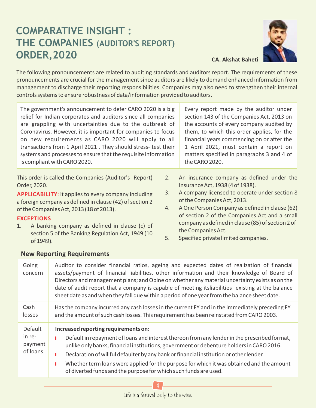### **COMPARATIVE INSIGHT : THE COMPANIES (AUDITOR'S REPORT) ORDER, 2020 CA. Akshat Baheti**



The following pronouncements are related to auditing standards and auditors report. The requirements of these pronouncements are crucial for the management since auditors are likely to demand enhanced information from management to discharge their reporting responsibilities. Companies may also need to strengthen their internal controls systems to ensure robustness of data/information provided to auditors.

The government's announcement to defer CARO 2020 is a big relief for Indian corporates and auditors since all companies are grappling with uncertainties due to the outbreak of Coronavirus. However, it is important for companies to focus on new requirements as CARO 2020 will apply to all transactions from 1 April 2021 . They should stress- test their systems and processes to ensure that the requisite information is compliant with CARO 2020. Every report made by the auditor under the CARO 2020. This order is called the Companies (Auditor's Report)

Order, 2020.

**APPLICABILITY**: it applies to every company including a foreign company as defined in clause (42) of section 2 of the Companies Act, 2013 (18 of 2013).

### **EXCEPTIONS**

1. A banking company as defined in clause (c) of section 5 of the Banking Regulation Act, 1949 (10 of 1949).

section 143 of the Companies Act, 2013 on the accounts of every company audited by them, to which this order applies, for the financial years commencing on or after the 1 April 2021, must contain a report on matters specified in paragraphs 3 and 4 of

- 2. An insurance company as defined under the Insurance Act, 1938 (4 of 1938).
- 3. A company licensed to operate under section 8 of the Companies Act, 2013.
- 4. A One Person Company as defined in clause (62) of section 2 of the Companies Act and a small company as defined in clause (85) of section 2 of the Companies Act.
- 5. Specified private limited companies.

### **New Reporting Requirements**

| Going<br>concern                         | Auditor to consider financial ratios, ageing and expected dates of realization of financial<br>assets/payment of financial liabilities, other information and their knowledge of Board of<br>Directors and management plans; and Opine on whether any material uncertainty exists as on the<br>date of audit report that a company is capable of meeting itsliabilities existing at the balance<br>sheet date as and when they fall due within a period of one year from the balance sheet date.     |
|------------------------------------------|------------------------------------------------------------------------------------------------------------------------------------------------------------------------------------------------------------------------------------------------------------------------------------------------------------------------------------------------------------------------------------------------------------------------------------------------------------------------------------------------------|
| Cash<br>losses                           | Has the company incurred any cash losses in the current FY and in the immediately preceding FY<br>and the amount of such cash losses. This requirement has been reinstated from CARO 2003.                                                                                                                                                                                                                                                                                                           |
| Default<br>in re-<br>payment<br>of loans | Increased reporting requirements on:<br>Default in repayment of loans and interest thereon from any lender in the prescribed format,<br>п<br>unlike only banks, financial institutions, government or debenture holders in CARO 2016.<br>Declaration of willful defaulter by any bank or financial institution or other lender.<br>г<br>Whether term loans were applied for the purpose for which it was obtained and the amount<br>of diverted funds and the purpose for which such funds are used. |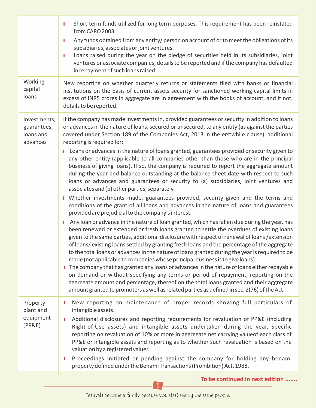|                                                      | Short-term funds utilized for long term purposes. This requirement has been reinstated<br>т<br>from CARO 2003.                                                                                                                                                                                                                                                                                                                                                                                                                                                                                                                                                                                                                                                                                                                                                                                                                                                 |
|------------------------------------------------------|----------------------------------------------------------------------------------------------------------------------------------------------------------------------------------------------------------------------------------------------------------------------------------------------------------------------------------------------------------------------------------------------------------------------------------------------------------------------------------------------------------------------------------------------------------------------------------------------------------------------------------------------------------------------------------------------------------------------------------------------------------------------------------------------------------------------------------------------------------------------------------------------------------------------------------------------------------------|
|                                                      | Any funds obtained from any entity/ person on account of or to meet the obligations of its<br>т<br>subsidiaries, associates or joint ventures.<br>Loans raised during the year on the pledge of securities held in its subsidiaries, joint<br>т<br>ventures or associate companies; details to be reported and if the company has defaulted<br>in repayment of such loans raised.                                                                                                                                                                                                                                                                                                                                                                                                                                                                                                                                                                              |
| Working<br>capital<br>loans                          | New reporting on whether quarterly returns or statements filed with banks or financial<br>institutions on the basis of current assets security for sanctioned working capital limits in<br>excess of INR5 crores in aggregate are in agreement with the books of account, and if not,<br>details to be reported.                                                                                                                                                                                                                                                                                                                                                                                                                                                                                                                                                                                                                                               |
| Investments,<br>guarantees,<br>loans and<br>advances | If the company has made investments in, provided guarantees or security in addition to loans<br>or advances in the nature of loans, secured or unsecured, to any entity (as against the parties<br>covered under Section 189 of the Companies Act, 2013 in the erstwhile clause), additional<br>reporting is required for:                                                                                                                                                                                                                                                                                                                                                                                                                                                                                                                                                                                                                                     |
|                                                      | Loans or advances in the nature of loans granted, guarantees provided or security given to<br>any other entity (applicable to all companies other than those who are in the principal<br>business of giving loans). If so, the company is required to report the aggregate amount<br>during the year and balance outstanding at the balance sheet date with respect to such<br>loans or advances and guarantees or security to (a) subsidiaries, joint ventures and<br>associates and (b) other parties, separately.<br>I Whether investments made, guarantees provided, security given and the terms and                                                                                                                                                                                                                                                                                                                                                      |
|                                                      | conditions of the grant of all loans and advances in the nature of loans and guarantees<br>provided are prejudicial to the company's interest.                                                                                                                                                                                                                                                                                                                                                                                                                                                                                                                                                                                                                                                                                                                                                                                                                 |
|                                                      | I Any loan or advance in the nature of loan granted, which has fallen due during the year, has<br>been renewed or extended or fresh loans granted to settle the overdues of existing loans<br>given to the same parties, additional disclosure with respect of renewal of loans / extension<br>of loans/existing loans settled by granting fresh loans and the percentage of the aggregate<br>to the total loans or advances in the nature of loans granted during the year is required to be<br>made (not applicable to companies whose principal business is to give loans).<br>I The company that has granted any loans or advances in the nature of loans either repayable<br>on demand or without specifying any terms or period of repayment, reporting on the<br>aggregate amount and percentage, thereof on the total loans granted and their aggregate<br>amount granted to promoters as well as related parties as defined in sec. 2(76) of the Act. |
| Property<br>plant and<br>equipment<br>(PP&E)         | New reporting on maintenance of proper records showing full particulars of<br>intangible assets.<br>Additional disclosures and reporting requirements for revaluation of PP&E (including<br>п<br>Right-of-Use assets) and intangible assets undertaken during the year. Specific<br>reporting on revaluation of 10% or more in aggregate net carrying valueof each class of<br>PP&E or intangible assets and reporting as to whether such revaluation is based on the<br>valuation by a registered valuer.                                                                                                                                                                                                                                                                                                                                                                                                                                                     |
|                                                      | Proceedings initiated or pending against the company for holding any benami<br>п<br>property defined under the Benami Transactions (Prohibition) Act, 1988.                                                                                                                                                                                                                                                                                                                                                                                                                                                                                                                                                                                                                                                                                                                                                                                                    |

5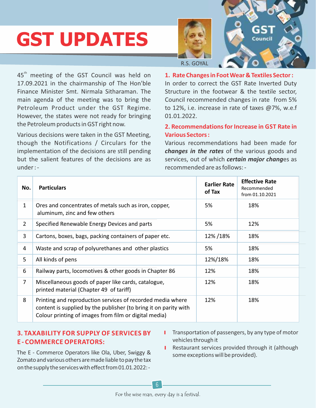# **GST UPDATES**





45<sup>th</sup> meeting of the GST Council was held on 17.09.2021 in the chairmanship of The Hon'ble Finance Minister Smt. Nirmala Sitharaman. The main agenda of the meeting was to bring the Petroleum Product under the GST Regime. However, the states were not ready for bringing the Petroleum products in GST right now.

Various decisions were taken in the GST Meeting, though the Notifications / Circulars for the implementation of the decisions are still pending but the salient features of the decisions are as under : -

**1. Rate Changes in Foot Wear & Textiles Sector :** In order to correct the GST Rate Inverted Duty Structure in the footwear & the textile sector, Council recommended changes in rate from 5% to 12%, i.e. increase in rate of taxes @7%, w.e.f 01.01.2022.

### **2. Recommendations for Increase in GST Rate in Various Sectors :**

Various recommendations had been made for *changes in the rates* of the various goods and services, out of which *certain major chang*es as recommended are as follows: -

| No.            | <b>Particulars</b>                                                                                                                                                                      | <b>Earlier Rate</b><br>of Tax | <b>Effective Rate</b><br>Recommended<br>from 01.10.2021 |
|----------------|-----------------------------------------------------------------------------------------------------------------------------------------------------------------------------------------|-------------------------------|---------------------------------------------------------|
| $\mathbf{1}$   | Ores and concentrates of metals such as iron, copper,<br>aluminum, zinc and few others                                                                                                  | 5%                            | 18%                                                     |
| $\overline{2}$ | Specified Renewable Energy Devices and parts                                                                                                                                            | 5%                            | 12%                                                     |
| 3              | Cartons, boxes, bags, packing containers of paper etc.                                                                                                                                  | 12%/18%                       | 18%                                                     |
| 4              | Waste and scrap of polyurethanes and other plastics                                                                                                                                     | 5%                            | 18%                                                     |
| 5              | All kinds of pens                                                                                                                                                                       | 12%/18%                       | 18%                                                     |
| 6              | Railway parts, locomotives & other goods in Chapter 86                                                                                                                                  | 12%                           | 18%                                                     |
| $\overline{7}$ | Miscellaneous goods of paper like cards, catalogue,<br>printed material (Chapter 49 of tariff)                                                                                          | 12%                           | 18%                                                     |
| 8              | Printing and reproduction services of recorded media where<br>content is supplied by the publisher (to bring it on parity with<br>Colour printing of images from film or digital media) | 12%                           | 18%                                                     |

### **3. TAXABILITY FOR SUPPLY OF SERVICES BY E - COMMERCE OPERATORS:**

- The E Commerce Operators like Ola, Uber, Swiggy & Zomato and various others are made liable to pay the tax on the supply the services with effect from 01.01.2022:-
- **I** Transportation of passengers, by any type of motor vehicles through it
- **I** Restaurant services provided through it (although some exceptions will be provided).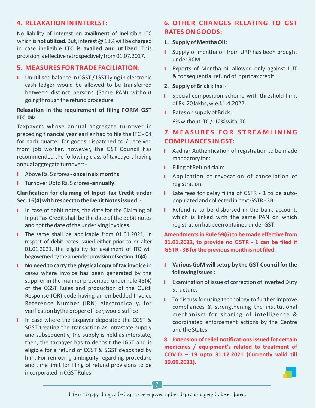### **4. RELAXATION IN INTEREST:**

No liability of interest on **availment** of ineligible ITC which is **not utilized**. But, interest @ 18% will be charged in case ineligible **ITC is availed and utilized**. This provision is effective retrospectively from 01.07.2017.

### **5. MEASURES FOR TRADE FACILIATION:**

**I** Unutilised balance in CGST / IGST lying in electronic cash ledger would be allowed to be transferred between distinct persons (Same PAN) without going through the refund procedure.

### **Relaxation in the requirement of filing FORM GST ITC-04:**

Taxpayers whose annual aggregate turnover in preceding financial year earlier had to file the ITC - 04 for each quarter for goods dispatched to / received from job worker, however, the GST Council has recommended the following class of taxpayers having annual aggregate turnover: -

- y Above Rs. 5 crores **once in six months**
- **I** Turnover Upto Rs. 5 crores -**annually**.

### **Clarification for claiming of Input Tax Credit under Sec. 16(4) with respect to the Debit Notes issued: -**

- I In case of debit notes, the date for the Claiming of Input Tax Credit shall be the date of the debit notes and not the date of the underlying invoices.
- I The same shall be applicable from 01.01.2021, in respect of debit notes issued either prior to or after 01.01.2021, the eligibility for availment of ITC will be governed by the amended provision of section 16(4).
- **I** No need to carry the physical copy of tax invoice in cases where invoice has been generated by the supplier in the manner prescribed under rule 48(4) of the CGST Rules and production of the Quick Response (QR) code having an embedded Invoice Reference Number (IRN) electronically, for verification bythe proper officer, would suffice.
- I In case where the taxpayer deposited the CGST & SGST treating the transaction as intrastate supply and subsequently, the supply is held as interstate, then, the taxpayer has to deposit the IGST and is eligible for a refund of CGST & SGST deposited by him. For removing ambiguity regarding procedure and time limit for filing of refund provisions to be incorporated in CGST Rules.

### **6. OTHER CHANGES RELATING TO GST RATES ON GOODS:**

### **1. Supply of Mentha Oil :**

- I Supply of mentha oil from URP has been brought under RCM.
- **I** Exports of Mentha oil allowed only against LUT & consequential refund of input tax credit.

### **2. Supply of Brick kilns: -**

- **I** Special composition scheme with threshold limit of Rs. 20 lakhs, w.e.f.1.4.2022.
- $\blacksquare$  Rates on supply of Brick : 6% without ITC / 12% with ITC

### **7. M E A S U R E S FOR S T R E A M L INING COMPLIANCES IN GST:**

- **I** Aadhar Authentication of registration to be made mandatory for :
- **I** Filing of Refund claim
- **I** Application of revocation of cancellation of registration.
- I Late fees for delay filing of GSTR 1 to be autopopulated and collected in next GSTR - 3B.
- **I** Refund is to be disbursed in the bank account, which is linked with the same PAN on which registration has been obtained under GST.

### **Amendments in Rule 59(6) to be made effective from 01.01.2022, to provide no GSTR - 1 can be filed if GSTR - 3B for the previous month is not filed.**

- **I** Various GoM will setup by the GST Council for the **following issues :**
- **I** Examination of issue of correction of Inverted Duty Structure.
- **I** To discuss for using technology to further improve compliances & strengthening the institutional mechanism for sharing of intelligence & coordinated enforcement actions by the Centre and the States.

### **8. Extension of relief notifications issued for certain medicines / equipment's related to treatment of COVID – 19 upto 31.12.2021 (Currently valid till 30.09.2021).**

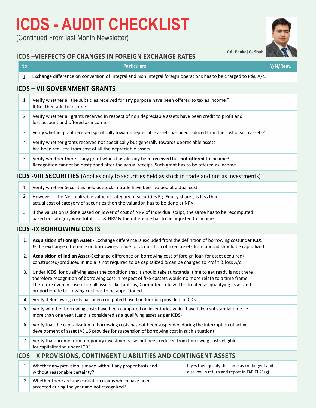## **ICDS - AUDIT CHECKLIST**

(Continued From last Month Newsletter)

### **ICDS –VIEFFECTS OF CHANGES IN FOREIGN EXCHANGE RATES**

| No. | <b>Particulars</b>                                                                                                                                                                               | Y/N/Rem. |  |
|-----|--------------------------------------------------------------------------------------------------------------------------------------------------------------------------------------------------|----------|--|
| 1.  | Exchange difference on conversion of Integral and Non integral foreign operations has to be charged to P&L A/c.                                                                                  |          |  |
|     | <b>ICDS - VII GOVERNMENT GRANTS</b>                                                                                                                                                              |          |  |
| 1.  | Verify whether all the subsidies received for any purpose have been offered to tax as income?<br>If No, then add to income                                                                       |          |  |
| 2.  | Verify whether all grants received in respect of non depreciable assets have been credit to profit and<br>loss account and offered as income.                                                    |          |  |
| 3.  | Verify whether grant received specifically towards depreciable assets has been reduced from the cost of such assets?                                                                             |          |  |
| 4.  | Verify whether grants received not specifically but generally towards depreciable assets<br>has been reduced from cost of all the depreciable assets.                                            |          |  |
| 5.  | Verify whether there is any grant which has already been received but not offered to income?<br>Recognition cannot be postponed after the actual receipt. Such grant has to be offered as income |          |  |

### **ICDS -VIII SECURITIES** (Applies only to securities held as stock in trade and not as investments)

| Verify whether Securities held as stock in trade have been valued at actual cost                                                                                                                     |  |
|------------------------------------------------------------------------------------------------------------------------------------------------------------------------------------------------------|--|
| However if the Net realizable value of category of securities Eg. Equity shares, is less than<br>actual cost of category of securities then the valuation has to be done at NRV                      |  |
| If the valuation is done based on lower of cost of NRV of individual script, the same has to be recomputed<br>based on category wise total cost & NRV & the difference has to be adjusted to income. |  |

### **ICDS -IX BORROWING COSTS**

| 1. | Acquisition of Foreign Asset - Exchange difference is excluded from the definition of borrowing costunder ICDS<br>& the exchange difference on borrowings made for acquisition of fixed assets from abroad should be capitalized.                                                                                                                                                               |  |  |
|----|-------------------------------------------------------------------------------------------------------------------------------------------------------------------------------------------------------------------------------------------------------------------------------------------------------------------------------------------------------------------------------------------------|--|--|
| 2. | Acquisition of Indian Asset-Exchange difference on borrowing cost of foreign loan for asset acquired/<br>constructed/produced in India is not required to be capitalized & can be charged to Profit & loss A/c.                                                                                                                                                                                 |  |  |
| 3. | Under ICDS, for qualifying asset the condition that it should take substantial time to get ready is not there<br>therefore recognition of borrowing cost in respect of fixe dassets would no more relate to a time frame.<br>Therefore even in case of small assets like Laptops, Computers, etc will be treated as qualifying asset and<br>proportionate borrowing cost has to be apportioned. |  |  |
| 4. | Verify if Borrowing costs has been computed based on formula provided in ICDS                                                                                                                                                                                                                                                                                                                   |  |  |
| 5. | Verify whether borrowing costs have been computed on inventories which have taken substantial time i.e.<br>more than one year. (Land is considered as a qualifying asset as per ICDS)                                                                                                                                                                                                           |  |  |
| 6. | Verify that the capitalization of borrowing costs has not been suspended during the interruption of active<br>development of asset (AS 16 provides for suspension of borrowing cost in such situation)                                                                                                                                                                                          |  |  |
| 7. | Verify that income from temporary investments has not been reduced from borrowing costs eligible<br>for capitalization under ICDS.                                                                                                                                                                                                                                                              |  |  |
|    | ICDS – X PROVISIONS, CONTINGENT LIABILITIES AND CONTINGENT ASSETS                                                                                                                                                                                                                                                                                                                               |  |  |

| Whether any provision is made without any proper basis and<br>without reasonable certainty?             | If yes then qualify the same as contingent and<br>disallow in return and report in TAR $Cl.21(g)$ |
|---------------------------------------------------------------------------------------------------------|---------------------------------------------------------------------------------------------------|
| Whether there are any escalation claims which have been<br>accepted during the year and not recognized? |                                                                                                   |



**CA. Pankaj G. Shah**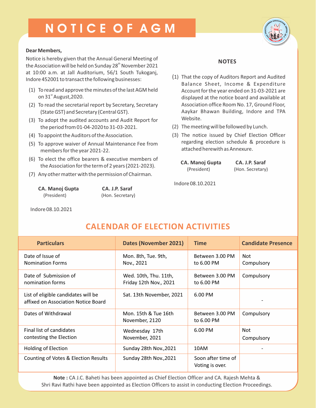## N O T I C E O F A G M



#### **Dear Members,**

Notice is hereby given that the Annual General Meeting of the Association will be held on Sunday 28<sup>th</sup> November 2021 at 10:00 a.m. at Jall Auditorium, 56/1 South Tukoganj, Indore 452001 to transact the following businesses:

- (1) To read and approve the minutes of the last AGM held on 31 $\mathrm{^{\text{st}}}$  August,2020.
- (2) To read the secretarial report by Secretary, Secretary (State GST) and Secretary (Central GST).
- (3) To adopt the audited accounts and Audit Report for the period from 01-04-2020 to 31-03-2021.
- (4) To appoint the Auditors of the Association.
- (5) To approve waiver of Annual Maintenance Fee from members for the year 2021-22.
- (6) To elect the office bearers & executive members of the Association for the term of 2 years (2021-2023).
- (7) Any other matter with the permission of Chairman.

| <b>CA. Manoj Gupta</b> |  |
|------------------------|--|
| (President)            |  |

**CA. J.P. Saraf** (Hon. Secretary)

Indore 08.10.2021

### **NOTES**

- (1) That the copy of Auditors Report and Audited Balance Sheet, Income & Expenditure Account for the year ended on 31-03-2021 are displayed at the notice board and available at Association office Room No. 17, Ground Floor, Aaykar Bhawan Building, Indore and TPA Website.
- (2) The meeting will be followed by Lunch.
- (3) The notice issued by Chief Election Officer regarding election schedule & procedure is attached herewith as Annexure.

| <b>CA. Manoj Gupta</b> |  |
|------------------------|--|
| (President)            |  |

**CA. J.P. Saraf** (Hon. Secretary)

Indore 08.10.2021

| <b>Particulars</b>                                                         | <b>Dates (November 2021)</b>                    | <b>Time</b>                           | <b>Candidate Presence</b> |
|----------------------------------------------------------------------------|-------------------------------------------------|---------------------------------------|---------------------------|
| Date of Issue of<br><b>Nomination Forms</b>                                | Mon. 8th, Tue. 9th,<br>Nov., 2021               | Between 3.00 PM<br>to 6.00 PM         | Not<br>Compulsory         |
| Date of Submission of<br>nomination forms                                  | Wed. 10th, Thu. 11th,<br>Friday 12th Nov., 2021 | Between 3.00 PM<br>to 6.00 PM         | Compulsory                |
| List of eligible candidates will be<br>affixed on Association Notice Board | Sat. 13th November, 2021                        | 6.00 PM                               |                           |
| Dates of Withdrawal                                                        | Mon. 15th & Tue 16th<br>November, 2120          | Between 3.00 PM<br>to 6.00 PM         | Compulsory                |
| Final list of candidates<br>contesting the Election                        | Wednesday 17th<br>November, 2021                | 6.00 PM                               | Not<br>Compulsory         |
| <b>Holding of Election</b>                                                 | Sunday 28th Nov., 2021                          | 10AM                                  |                           |
| Counting of Votes & Election Results                                       | Sunday 28th Nov., 2021                          | Soon after time of<br>Voting is over. |                           |

**Note :** CA J.C. Baheti has been appointed as Chief Election Officer and CA. Rajesh Mehta & Shri Ravi Rathi have been appointed as Election Officers to assist in conducting Election Proceedings.

### **CALENDAR OF ELECTION ACTIVITIES**